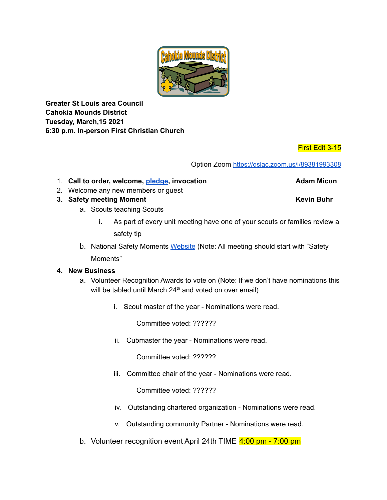

**Greater St Louis area Council Cahokia Mounds District Tuesday, March,15 2021 6:30 p.m. In-person First Christian Church**

## First Edit 3-15

Option Zoom <https://gslac.zoom.us/j/89381993308>

- 1. **Call to order, welcome, [pledge](https://www.youtube.com/watch?v=I37tVDprjh0), invocation Adam Micun**
- 2. Welcome any new members or guest
- **3. Safety meeting Moment Kevin Buhr**
	- a. Scouts teaching Scouts
		- i. As part of every unit meeting have one of your scouts or families review a safety tip
	- b. National Safety Moments [Website](https://www.scouting.org/health-and-safety/safety-moments/) (Note: All meeting should start with "Safety

Moments"

### **4. New Business**

- a. Volunteer Recognition Awards to vote on (Note: If we don't have nominations this will be tabled until March 24<sup>th</sup> and voted on over email)
	- i. Scout master of the year Nominations were read.

Committee voted: ??????

ii. Cubmaster the year - Nominations were read.

Committee voted: ??????

iii. Committee chair of the year - Nominations were read.

Committee voted: ??????

- iv. Outstanding chartered organization Nominations were read.
- v. Outstanding community Partner Nominations were read.
- b. Volunteer recognition event April 24th TIME 4:00 pm 7:00 pm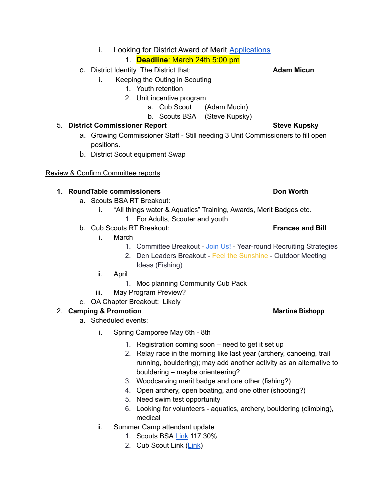i. Looking for District Award of Merit [Applications](https://filestore.scouting.org/filestore/pdf/33720.pdf)

# 1. **Deadline**: March 24th 5:00 pm

- c. District Identity The District that: **Adam Micun**
	- i. Keeping the Outing in Scouting
		- 1. Youth retention
		- 2. Unit incentive program
			- a. Cub Scout (Adam Mucin)
			- b. Scouts BSA (Steve Kupsky)

# 5. **District Commissioner Report Steve Kupsky**

- a. Growing Commissioner Staff Still needing 3 Unit Commissioners to fill open positions.
- b. District Scout equipment Swap

## Review & Confirm Committee reports

## **1. RoundTable commissioners Don Worth**

- a. Scouts BSA RT Breakout:
	- i. "All things water & Aquatics" Training, Awards, Merit Badges etc.
		- 1. For Adults, Scouter and youth
- b. Cub Scouts RT Breakout: **Frances and Bill**
	- i. March
		- 1. Committee Breakout Join Us! Year-round Recruiting Strategies
		- 2. Den Leaders Breakout Feel the Sunshine Outdoor Meeting Ideas (Fishing)
	- ii. April
		- 1. Moc planning Community Cub Pack
	- iii. May Program Preview?
- c. OA Chapter Breakout: Likely

# 2. **Camping & Promotion Martina Bishopp**

- a. Scheduled events:
	- i. Spring Camporee May 6th 8th
		- 1. Registration coming soon need to get it set up
		- 2. Relay race in the morning like last year (archery, canoeing, trail running, bouldering); may add another activity as an alternative to bouldering – maybe orienteering?
		- 3. Woodcarving merit badge and one other (fishing?)
		- 4. Open archery, open boating, and one other (shooting?)
		- 5. Need swim test opportunity
		- 6. Looking for volunteers aquatics, archery, bouldering (climbing), medical
	- ii. Summer Camp attendant update
		- 1. Scouts BSA [Link](https://docs.google.com/spreadsheets/d/1TZ0sj45NetDsf5CDKtDQ1MOVfWug1NqQGZCIOzcFCN0/edit#gid=1983447122) 117 30%
		- 2. Cub Scout Link [\(Link](https://docs.google.com/spreadsheets/d/1suKKdDH_K_tun6EPbC2TwiolJeRkHWpsgT_Neu2P6Eg/edit?usp=sharing))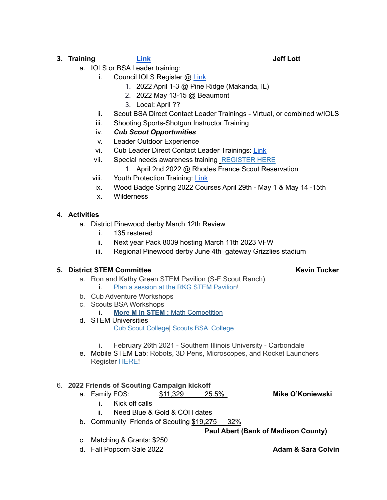## **3. Training [Link](https://stlbsa.org/training/) Jeff Lott**

- a. IOLS or BSA Leader training:
	- i. Council IOLS Register @ [Link](https://stlbsa.org/training/outdoor-leadership-skills/)
		- 1. 2022 April 1-3 @ Pine Ridge (Makanda, IL)
		- 2. 2022 May 13-15 @ Beaumont
		- 3. Local: April ??
	- ii. Scout BSA Direct Contact Leader Trainings Virtual, or combined w/IOLS
	- iii. Shooting Sports-Shotgun Instructor Training
	- iv. *Cub Scout Opportunities*
	- v. Leader Outdoor Experience
	- vi. Cub Leader Direct Contact Leader Trainings: [Link](https://stlbsa.org/training/cub-scout-leader/)
	- vii. Special needs awareness training [REGISTER HERE](https://scoutingevent.com/312-20212022SpecialNeedsTraining)
		- 1. April 2nd 2022 @ Rhodes France Scout Reservation
	- viii. Youth Protection Training: [Link](https://stlbsa.org/training/scouts-bsa-leader/)
	- ix. Wood Badge Spring 2022 Courses April 29th May 1 & May 14 -15th
	- x. Wilderness

## 4. **Activities**

- a. District Pinewood derby March 12th Review
	- i. 135 restered
	- ii. Next year Pack 8039 hosting March 11th 2023 VFW
	- iii. Regional Pinewood derby June 4th gateway Grizzlies stadium

### **5. District STEM Committee Kevin Tucker**

- a. Ron and Kathy Green STEM Pavilion (S-F Scout Ranch) i. [Plan a session at the RKG STEM Pavilion!](https://campreservation.com/312/Camps/281)
- b. Cub Adventure Workshops
- c. Scouts BSA Workshops
	- i. **[More M in STEM :](https://scoutingevent.com/312-MoreMinSTEM21)** Math Competition
- d. STEM Universities

[Cub Scout College|](https://scoutingevent.com/312-stemu2021siuecubscouts) [Scouts BSA College](https://scoutingevent.com/312-stemu2021siuescoutsbsa)

- i. February 26th 2021 Southern Illinois University Carbondale
- e. Mobile STEM Lab: Robots, 3D Pens, Microscopes, and Rocket Launchers Register [HERE!](https://campreservation.com/312/Camps/900)

## 6. **2022 Friends of Scouting Campaign kickoff**

a. Family FOS: \$11,329 25.5% **Mike O'Koniewski**

- i. Kick off calls
- ii. Need Blue & Gold & COH dates
- b. Community Friends of Scouting \$19,275 32%

**Paul Abert (Bank of Madison County)**

- c. Matching & Grants: \$250
- d. Fall Popcorn Sale 2022 **Adam & Sara Colvin**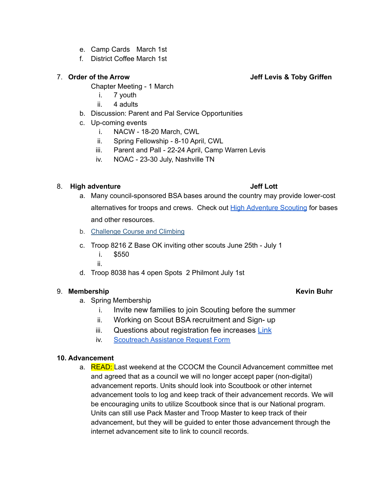- e. Camp Cards March 1st
- f. District Coffee March 1st

### 7. **Order of the Arrow Jeff Levis & Toby Griffen**

Chapter Meeting - 1 March

- i. 7 youth
- ii. 4 adults
- b. Discussion: Parent and Pal Service Opportunities
- c. Up-coming events
	- i. NACW 18-20 March, CWL
	- ii. Spring Fellowship 8-10 April, CWL
	- iii. Parent and Pall 22-24 April, Camp Warren Levis
	- iv. NOAC 23-30 July, Nashville TN

### 8. **High adventure Jeff Lott**

- a. Many council-sponsored BSA bases around the country may provide lower-cost alternatives for troops and crews. Check out High [Adventure](https://www.highadventurescouting.com/) Scouting for bases and other resources.
- b. [Challenge Course and Climbing](https://stlbsa.org/training/challenge-course-and-climbing/)
- c. Troop 8216 Z Base OK inviting other scouts June 25th July 1
	- i. \$550
	- ii.
- d. Troop 8038 has 4 open Spots 2 Philmont July 1st

### 9. **Membership Kevin Buhr**

- a. Spring Membership
	- i. Invite new families to join Scouting before the summer
	- ii. Working on Scout BSA recruitment and Sign- up
	- iii. Questions about registration fee increases [Link](https://stlbsa.org/resources/membership-fees-faq/)
	- iv. [Scoutreach](https://stlbsa.org/wp-content/uploads/2020/06/Scoutreach-Assistance-Request-Form-FILLABLE.pdf) Assistance Request Form

### **10. Advancement**

a. READ: Last weekend at the CCOCM the Council Advancement committee met and agreed that as a council we will no longer accept paper (non-digital) advancement reports. Units should look into Scoutbook or other internet advancement tools to log and keep track of their advancement records. We will be encouraging units to utilize Scoutbook since that is our National program. Units can still use Pack Master and Troop Master to keep track of their advancement, but they will be guided to enter those advancement through the internet advancement site to link to council records.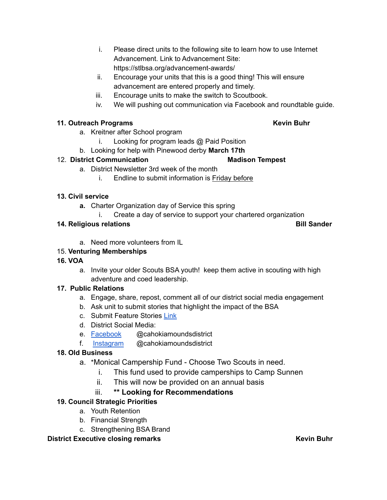- i. Please direct units to the following site to learn how to use Internet Advancement. Link to Advancement Site: https://stlbsa.org/advancement-awards/
- ii. Encourage your units that this is a good thing! This will ensure advancement are entered properly and timely.
- iii. Encourage units to make the switch to Scoutbook.
- iv. We will pushing out communication via Facebook and roundtable guide.

### **11. Outreach Programs Kevin Buhr**

- a. Kreitner after School program
	- i. Looking for program leads @ Paid Position
- b. Looking for help with Pinewood derby **March 17th**

### 12. **District Communication Madison Tempest**

- a. District Newsletter 3rd week of the month
	- i. Endline to submit information is Friday before

## **13. Civil service**

- **a.** Charter Organization day of Service this spring
	- i. Create a day of service to support your chartered organization

## **14. Religious relations Bill Sander**

a. Need more volunteers from IL

## 15. **Venturing Memberships**

- **16. VOA**
	- a. Invite your older Scouts BSA youth! keep them active in scouting with high adventure and coed leadership.

### **17. Public Relations**

- a. Engage, share, repost, comment all of our district social media engagement
- b. Ask unit to submit stories that highlight the impact of the BSA
- c. Submit Feature Stories [Link](https://docs.google.com/forms/d/e/1FAIpQLSeND-D-DcjHKaYuofmjCKTJmfCSGimco0aQenHOPFoHMy_x_A/viewform?usp=sf_link)
- d. District Social Media:
- e. [Facebook](https://www.facebook.com/cahokiamoundsdistrict) @cahokiamoundsdistrict
- f. [Instagram](https://www.instagram.com/cahokiamoundsbsa/) @cahokiamoundsdistrict

## **18. Old Business**

- a. \*Monical Campership Fund Choose Two Scouts in need.
	- i. This fund used to provide camperships to Camp Sunnen
	- ii. This will now be provided on an annual basis

# iii. **\*\* Looking for Recommendations**

## **19. Council Strategic Priorities**

- a. Youth Retention
- b. Financial Strength
- c. Strengthening BSA Brand

**District Executive** closing remarks **COVID-100 Remarks Kevin Buhr**